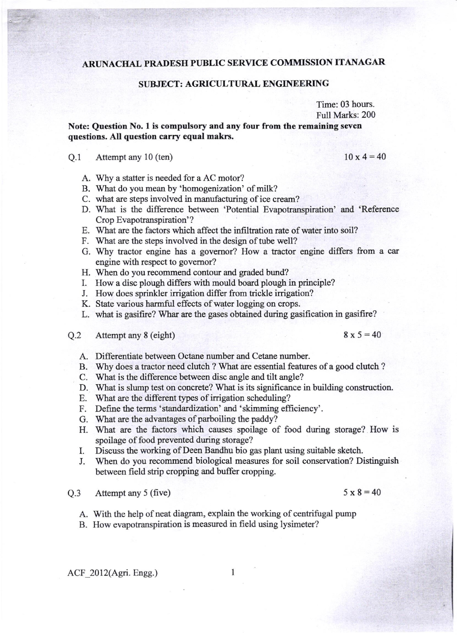## ARUNACHAL PRADESH PUBLIC SERVICE COMMISSION ITANAGAR

## SUBJECT: AGRICULTURAL ENGINEERING

Time: 03 hours. Full Marks: 200

Note: Question No. 1 is compulsory and any four from the remaining seven questions. All question carry equal makrs.

## 0.1 Attempt any 10 (ten)  $10 \times 4 = 40$

- A. Why a statter is needed for a AC motor?
- B. What do you mean by 'homogenization' of milk?
- C. what are steps involved in manufacturing of ice cream?
- D. What is the difference between 'Potential Evapotranspiration' and 'Reference Crop Evapotranspiration'?
- E. What are the factors which affect the infrltration rate of water into soil?
- F. What are the steps involved in the design of tube well?
- G. Why tractor engine has a governor? How a tractor engine differs from a car engine with respect to govemor?
- H. When do you recommend contour and graded bund?
- L How a disc plough differs with mould board plough in principle?
- J. How does sprinkler irrigation differ from trickle irrigation?
- K. State various harmful effects of water logging on crops.
- L. what is gasifire? Whar are the gases obtained during gasification in gasifire?
- Q.2 Attempt any 8 (eight)  $8 \times 5 = 40$

- A. Differentiate between Octane number and Cetane number.
- B. Why does a tractor need clutch ? What are essential features of a good clutch ?
- C. What is the diflerence between disc angle and tilt angle?
- D. What is slump test on concrete? What is its significance in building construction.
- E. What are the different types of irrigation scheduling?
- F. Define the terms 'standardization' and 'skimming efficiency'.
- G. What are the advantages of parboiling the paddy?
- H. Wlat are the factors which causes spoilage of food during storage? How is spoilage of food prevented during storage?
- I. Discuss the working of Deen Bandhu bio gas plant using suitable sketch.
- J. When do you recommend biological measures for soil conservation? Distinguish between field strip cropping and buffer cropping.

Q.3 Attempt any 5 (five)

- A. With the help of neat diagram, explain the working of centrifugal pump
- B. How evapotranspiration is measured in field using lysimeter?

ACF 2012(Agri. Engg.) 1

 $5 \times 8 = 40$